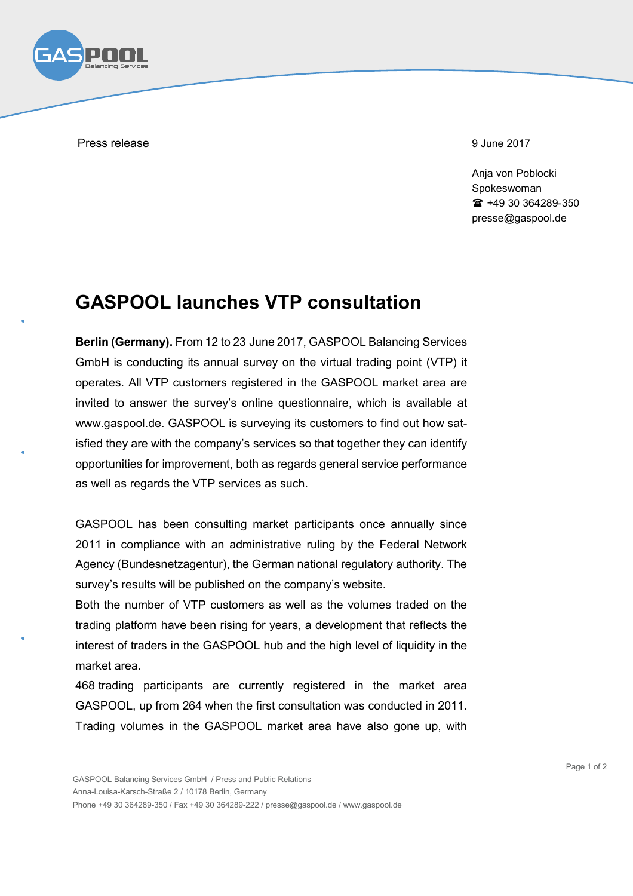

Press release 9 June 2017

Anja von Poblocki Spokeswoman +49 30 364289-350 presse@gaspool.de

## **GASPOOL launches VTP consultation**

**Berlin (Germany).** From 12 to 23 June 2017, GASPOOL Balancing Services GmbH is conducting its annual survey on the virtual trading point (VTP) it operates. All VTP customers registered in the GASPOOL market area are invited to answer the survey's online questionnaire, which is available at www.gaspool.de. GASPOOL is surveying its customers to find out how satisfied they are with the company's services so that together they can identify opportunities for improvement, both as regards general service performance as well as regards the VTP services as such.

GASPOOL has been consulting market participants once annually since 2011 in compliance with an administrative ruling by the Federal Network Agency (Bundesnetzagentur), the German national regulatory authority. The survey's results will be published on the company's website.

Both the number of VTP customers as well as the volumes traded on the trading platform have been rising for years, a development that reflects the interest of traders in the GASPOOL hub and the high level of liquidity in the market area.

468 trading participants are currently registered in the market area GASPOOL, up from 264 when the first consultation was conducted in 2011. Trading volumes in the GASPOOL market area have also gone up, with